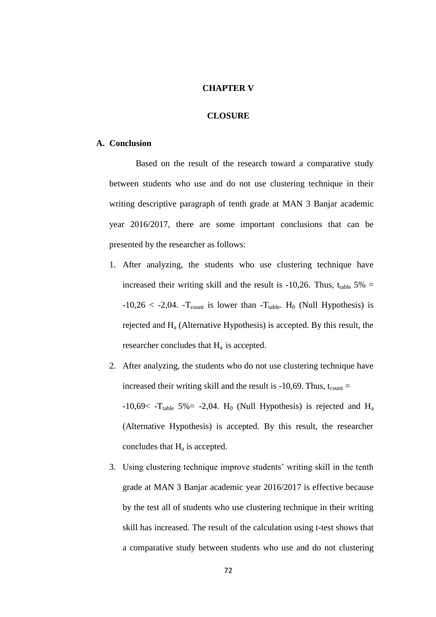## **CHAPTER V**

## **CLOSURE**

## **A. Conclusion**

Based on the result of the research toward a comparative study between students who use and do not use clustering technique in their writing descriptive paragraph of tenth grade at MAN 3 Banjar academic year 2016/2017, there are some important conclusions that can be presented by the researcher as follows:

1. After analyzing, the students who use clustering technique have increased their writing skill and the result is -10,26. Thus,  $t_{table}$  5% =  $-10,26 < -2,04$ .  $-T_{count}$  is lower than  $-T_{table}$ . H<sub>0</sub> (Null Hypothesis) is rejected and  $H_a$  (Alternative Hypothesis) is accepted. By this result, the researcher concludes that  $H_a$  is accepted.

2. After analyzing, the students who do not use clustering technique have increased their writing skill and the result is  $-10,69$ . Thus, t<sub>count</sub> =  $-10,69<$  -T<sub>table</sub> 5% = -2,04. H<sub>0</sub> (Null Hypothesis) is rejected and H<sub>a</sub> (Alternative Hypothesis) is accepted. By this result, the researcher concludes that  $H_a$  is accepted.

3. Using clustering technique improve students' writing skill in the tenth grade at MAN 3 Banjar academic year 2016/2017 is effective because by the test all of students who use clustering technique in their writing skill has increased. The result of the calculation using t-test shows that a comparative study between students who use and do not clustering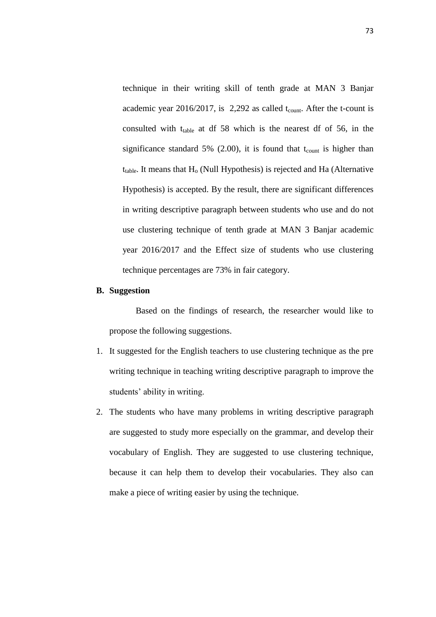technique in their writing skill of tenth grade at MAN 3 Banjar academic year 2016/2017, is  $2,292$  as called t<sub>count</sub>. After the t-count is consulted with t<sub>table</sub> at df 58 which is the nearest df of 56, in the significance standard 5% (2.00), it is found that  $t_{\text{count}}$  is higher than  $t_{table}$ . It means that  $H_0$  (Null Hypothesis) is rejected and Ha (Alternative Hypothesis) is accepted. By the result, there are significant differences in writing descriptive paragraph between students who use and do not use clustering technique of tenth grade at MAN 3 Banjar academic year 2016/2017 and the Effect size of students who use clustering technique percentages are 73% in fair category.

## **B. Suggestion**

Based on the findings of research, the researcher would like to propose the following suggestions.

- 1. It suggested for the English teachers to use clustering technique as the pre writing technique in teaching writing descriptive paragraph to improve the students' ability in writing.
- 2. The students who have many problems in writing descriptive paragraph are suggested to study more especially on the grammar, and develop their vocabulary of English. They are suggested to use clustering technique, because it can help them to develop their vocabularies. They also can make a piece of writing easier by using the technique.